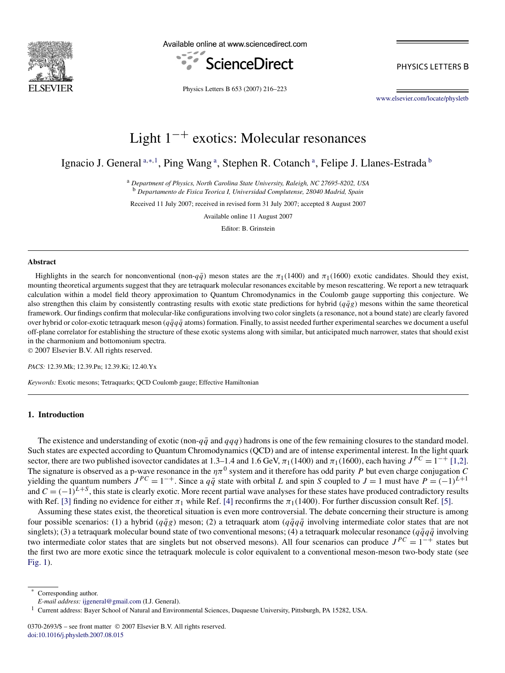

Available online at www.sciencedirect.com



PHYSICS LETTERS B

Physics Letters B 653 (2007) 216–223

[www.elsevier.com/locate/physletb](http://www.elsevier.com/locate/physletb)

# Light 1−+ exotics: Molecular resonances

Ignacio J. General <sup>a,∗, 1</sup>, Ping Wang <sup>a</sup>, Stephen R. Cotanch <sup>a</sup>, Felipe J. Llanes-Estrada <sup>b</sup>

<sup>a</sup> *Department of Physics, North Carolina State University, Raleigh, NC 27695-8202, USA* <sup>b</sup> *Departamento de Fisica Teorica I, Universidad Complutense, 28040 Madrid, Spain*

Received 11 July 2007; received in revised form 31 July 2007; accepted 8 August 2007

Available online 11 August 2007

Editor: B. Grinstein

#### **Abstract**

Highlights in the search for nonconventional (non- $q\bar{q}$ ) meson states are the  $\pi_1(1400)$  and  $\pi_1(1600)$  exotic candidates. Should they exist, mounting theoretical arguments suggest that they are tetraquark molecular resonances excitable by meson rescattering. We report a new tetraquark calculation within a model field theory approximation to Quantum Chromodynamics in the Coulomb gauge supporting this conjecture. We also strengthen this claim by consistently contrasting results with exotic state predictions for hybrid  $(q\bar{q}g)$  mesons within the same theoretical framework. Our findings confirm that molecular-like configurations involving two color singlets (a resonance, not a bound state) are clearly favored over hybrid or color-exotic tetraquark meson ( $q\bar{q}q\bar{q}$  atoms) formation. Finally, to assist needed further experimental searches we document a useful off-plane correlator for establishing the structure of these exotic systems along with similar, but anticipated much narrower, states that should exist in the charmonium and bottomonium spectra.

© 2007 Elsevier B.V. All rights reserved.

*PACS:* 12.39.Mk; 12.39.Pn; 12.39.Ki; 12.40.Yx

*Keywords:* Exotic mesons; Tetraquarks; QCD Coulomb gauge; Effective Hamiltonian

## **1. Introduction**

The existence and understanding of exotic (non- $q\bar{q}$  and  $qqq$ ) hadrons is one of the few remaining closures to the standard model. Such states are expected according to Quantum Chromodynamics (QCD) and are of intense experimental interest. In the light quark sector, there are two published isovector candidates at 1.3–1.4 and 1.6 GeV,  $\pi_1(1400)$  and  $\pi_1(1600)$ , each having  $J^{PC} = 1^{-+}$  [\[1,2\].](#page-6-0) The signature is observed as a p-wave resonance in the  $\eta \pi^0$  system and it therefore has odd parity *P* but even charge conjugation *C* yielding the quantum numbers  $J^{PC} = 1^{-+}$ . Since a  $q\bar{q}$  state with orbital *L* and spin *S* coupled to  $J = 1$  must have  $P = (-1)^{L+1}$ and  $C = (-1)^{L+S}$ , this state is clearly exotic. More recent partial wave analyses for these states have produced contradictory results with Ref. [\[3\]](#page-6-0) finding no evidence for either  $\pi_1$  while Ref. [\[4\]](#page-6-0) reconfirms the  $\pi_1(1400)$ . For further discussion consult Ref. [\[5\].](#page-6-0)

Assuming these states exist, the theoretical situation is even more controversial. The debate concerning their structure is among four possible scenarios: (1) a hybrid ( $q\bar{q}g$ ) meson; (2) a tetraquark atom ( $q\bar{q}q\bar{q}$  involving intermediate color states that are not singlets); (3) a tetraquark molecular bound state of two conventional mesons; (4) a tetraquark molecular resonance ( $q\bar{q}q\bar{q}$  involving two intermediate color states that are singlets but not observed mesons). All four scenarios can produce  $J^{PC} = 1^{-+}$  states but the first two are more exotic since the tetraquark molecule is color equivalent to a conventional meson-meson two-body state (see [Fig. 1\)](#page-1-0).

Corresponding author.

*E-mail address:* [ijgeneral@gmail.com](mailto:ijgeneral@gmail.com) (I.J. General).

<sup>&</sup>lt;sup>1</sup> Current address: Bayer School of Natural and Environmental Sciences, Duquesne University, Pittsburgh, PA 15282, USA.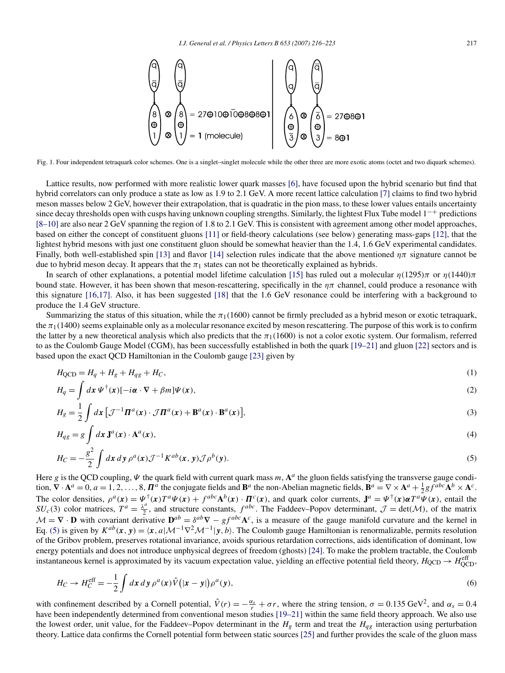<span id="page-1-0"></span>

Fig. 1. Four independent tetraquark color schemes. One is a singlet–singlet molecule while the other three are more exotic atoms (octet and two diquark schemes).

Lattice results, now performed with more realistic lower quark masses [\[6\],](#page-6-0) have focused upon the hybrid scenario but find that hybrid correlators can only produce a state as low as 1.9 to 2.1 GeV. A more recent lattice calculation [\[7\]](#page-6-0) claims to find two hybrid meson masses below 2 GeV, however their extrapolation, that is quadratic in the pion mass, to these lower values entails uncertainty since decay thresholds open with cusps having unknown coupling strengths. Similarly, the lightest Flux Tube model  $1^{-+}$  predictions [\[8–10\]](#page-6-0) are also near 2 GeV spanning the region of 1.8 to 2.1 GeV. This is consistent with agreement among other model approaches, based on either the concept of constituent gluons [\[11\]](#page-6-0) or field-theory calculations (see below) generating mass-gaps [\[12\],](#page-6-0) that the lightest hybrid mesons with just one constituent gluon should be somewhat heavier than the 1.4, 1.6 GeV experimental candidates. Finally, both well-established spin [\[13\]](#page-6-0) and flavor [\[14\]](#page-6-0) selection rules indicate that the above mentioned  $\eta \pi$  signature cannot be due to hybrid meson decay. It appears that the  $\pi_1$  states can not be theoretically explained as hybrids.

In search of other explanations, a potential model lifetime calculation [\[15\]](#page-6-0) has ruled out a molecular *η(*1295*)π* or *η(*1440*)π* bound state. However, it has been shown that meson-rescattering, specifically in the  $\eta\pi$  channel, could produce a resonance with this signature [\[16,17\].](#page-6-0) Also, it has been suggested [\[18\]](#page-6-0) that the 1.6 GeV resonance could be interfering with a background to produce the 1.4 GeV structure.

Summarizing the status of this situation, while the  $\pi_1(1600)$  cannot be firmly precluded as a hybrid meson or exotic tetraquark, the  $\pi_1(1400)$  seems explainable only as a molecular resonance excited by meson rescattering. The purpose of this work is to confirm the latter by a new theoretical analysis which also predicts that the  $\pi_1(1600)$  is not a color exotic system. Our formalism, referred to as the Coulomb Gauge Model (CGM), has been successfully established in both the quark [\[19–21\]](#page-6-0) and gluon [\[22\]](#page-6-0) sectors and is based upon the exact QCD Hamiltonian in the Coulomb gauge [\[23\]](#page-6-0) given by

$$
H_{QCD} = H_q + H_g + H_{qg} + H_C,\tag{1}
$$

$$
H_q = \int dx \, \Psi^{\dagger}(\mathbf{x}) \left[ -i\alpha \cdot \nabla + \beta m \right] \Psi(\mathbf{x}),\tag{2}
$$

$$
H_g = \frac{1}{2} \int d\mathbf{x} \left[ \mathcal{J}^{-1} \mathbf{\Pi}^a(\mathbf{x}) \cdot \mathcal{J} \mathbf{\Pi}^a(\mathbf{x}) + \mathbf{B}^a(\mathbf{x}) \cdot \mathbf{B}^a(\mathbf{x}) \right],\tag{3}
$$

$$
H_{qg} = g \int dx \mathbf{J}^{a}(x) \cdot \mathbf{A}^{a}(x),
$$
\n
$$
g^{2} \int dx \mathbf{J}^{a}(x) \cdot \mathbf{A}^{a}(x) \cdot \mathbf{J}^{a}(x) \cdot \mathbf{J}^{a}(x) \cdot \mathbf{J}^{a}(x) \cdot \mathbf{J}^{a}(x) \cdot \mathbf{J}^{a}(x) \cdot \mathbf{J}^{a}(x) \cdot \mathbf{J}^{a}(x) \cdot \mathbf{J}^{a}(x) \cdot \mathbf{J}^{a}(x) \cdot \mathbf{J}^{a}(x) \cdot \mathbf{J}^{a}(x) \cdot \mathbf{J}^{a}(x) \cdot \mathbf{J}^{a}(x) \cdot \mathbf{J}^{a}(x) \cdot \mathbf{J}^{a}(x) \cdot \mathbf{J}^{a}(x) \cdot \mathbf{J}^{a}(x) \cdot \mathbf{J}^{a}(x) \cdot \mathbf{J}^{a}(x) \cdot \mathbf{J}^{a}(x) \cdot \mathbf{J}^{a}(x) \cdot \mathbf{J}^{a}(x) \cdot \mathbf{J}^{a}(x) \cdot \mathbf{J}^{a}(x) \cdot \mathbf{J}^{a}(x) \cdot \mathbf{J}^{a}(x) \cdot \mathbf{J}^{a}(x) \cdot \mathbf{J}^{a}(x) \cdot \mathbf{J}^{a}(x) \cdot \mathbf{J}^{a}(x) \cdot \mathbf{J}^{a}(x) \cdot \mathbf{J}^{a}(x) \cdot \mathbf{J}^{a}(x) \cdot \mathbf{J}^{a}(x) \cdot \mathbf{J}^{a}(x) \cdot \mathbf{J}^{a}(x) \cdot \mathbf{J}^{a}(x) \cdot \mathbf{J}^{a}(x) \cdot \mathbf{J}^{a}(x) \cdot \mathbf{J}^{a}(x) \cdot \mathbf{J}^{a}(x) \cdot \mathbf{J}^{a}(x) \cdot \mathbf{J}^{a}(x) \cdot \mathbf{J}^{a}(x) \cdot \mathbf{J}^{a}(x) \cdot \mathbf{J}^{a}(x) \cdot \mathbf{J}^{a}(x) \cdot \mathbf{J}^{a}(x) \cdot \mathbf{J}^{a}(x) \cdot \mathbf{J}^{a}(x) \cdot \mathbf{J}^{a}(x) \cdot \mathbf{J}^{a}(x) \cdot \mathbf{J}
$$

$$
H_C = -\frac{g^2}{2} \int dx \, dy \, \rho^a(x) \mathcal{J}^{-1} K^{ab}(x, y) \mathcal{J} \rho^b(y).
$$
 (5)

Here *g* is the QCD coupling, *Ψ* the quark field with current quark mass *m*, **A***<sup>a</sup>* the gluon fields satisfying the transverse gauge condition,  $\nabla \cdot \mathbf{A}^a = 0$ ,  $a = 1, 2, ..., 8$ ,  $\mathbf{\Pi}^a$  the conjugate fields and  $\mathbf{B}^a$  the non-Abelian magnetic fields,  $\mathbf{B}^a = \nabla \times \mathbf{A}^a + \frac{1}{2}gf^{abc}\mathbf{A}^b \times \mathbf{A}^c$ . The color densities,  $\rho^a(x) = \psi^{\dagger}(x) T^a \psi(x) + f^{abc} A^b(x) \cdot \vec{\Pi}^c(x)$ , and quark color currents,  $J^a = \psi^{\dagger}(x) \alpha T^a \psi(x)$ , entail the *SU<sub>c</sub>*(3) color matrices,  $T^a = \frac{\lambda^a}{2}$ , and structure constants,  $f^{abc}$ . The Faddeev–Popov determinant,  $\mathcal{J} = \det(\mathcal{M})$ , of the matrix  $M = \nabla \cdot \mathbf{D}$  with covariant derivative  $\mathbf{D}^{ab} = \delta^{ab} \nabla - gf^{abc} \mathbf{A}^c$ , is a measure of the gauge manifold curvature and the kernel in Eq. (5) is given by  $K^{ab}(x, y) = \langle x, a | \mathcal{M}^{-1} \nabla^2 \mathcal{M}^{-1} | y, b \rangle$ . The Coulomb gauge Hamiltonian is renormalizable, permits resolution of the Gribov problem, preserves rotational invariance, avoids spurious retardation corrections, aids identification of dominant, low energy potentials and does not introduce unphysical degrees of freedom (ghosts) [\[24\].](#page-6-0) To make the problem tractable, the Coulomb instantaneous kernel is approximated by its vacuum expectation value, yielding an effective potential field theory,  $H_{QCD} \rightarrow H_{QCD}^{eff}$ 

$$
H_C \to H_C^{\text{eff}} = -\frac{1}{2} \int dx \, dy \, \rho^a(x) \hat{V}(|x - y|) \rho^a(y), \tag{6}
$$

with confinement described by a Cornell potential,  $\hat{V}(r) = -\frac{\alpha_s}{r} + \sigma r$ , where the string tension,  $\sigma = 0.135 \text{ GeV}^2$ , and  $\alpha_s = 0.4$ have been independently determined from conventional meson studies [\[19–21\]](#page-6-0) within the same field theory approach. We also use the lowest order, unit value, for the Faddeev–Popov determinant in the  $H_g$  term and treat the  $H_{qg}$  interaction using perturbation theory. Lattice data confirms the Cornell potential form between static sources [\[25\]](#page-6-0) and further provides the scale of the gluon mass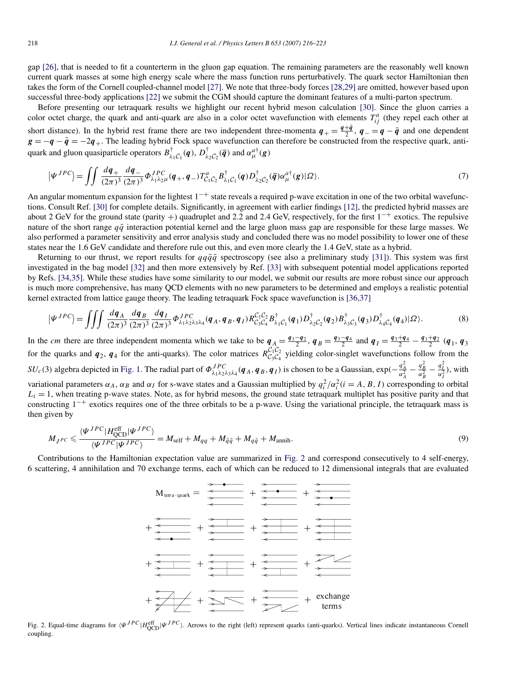gap [\[26\],](#page-6-0) that is needed to fit a counterterm in the gluon gap equation. The remaining parameters are the reasonably well known current quark masses at some high energy scale where the mass function runs perturbatively. The quark sector Hamiltonian then takes the form of the Cornell coupled-channel model [\[27\].](#page-6-0) We note that three-body forces [\[28,29\]](#page-6-0) are omitted, however based upon successful three-body applications [\[22\]](#page-6-0) we submit the CGM should capture the dominant features of a multi-parton spectrum.

Before presenting our tetraquark results we highlight our recent hybrid meson calculation [\[30\].](#page-6-0) Since the gluon carries a color octet charge, the quark and anti-quark are also in a color octet wavefunction with elements  $T_{ij}^a$  (they repel each other at short distance). In the hybrid rest frame there are two independent three-momenta  $q_{+} = \frac{q_{+} \bar{q}}{2}$ ,  $q_{-} = q_{-} \bar{q}$  and one dependent  $g = -q - \bar{q} = -2q_+$ . The leading hybrid Fock space wavefunction can therefore be constructed from the respective quark, antiquark and gluon quasiparticle operators  $B^{\dagger}_{\lambda_1C_1}(q)$ ,  $D^{\dagger}_{\lambda_2C_2}(\bar{q})$  and  $\alpha_{\mu}^{a\dagger}(g)$ 

$$
\left|\Psi^{JPC}\right\rangle = \iint \frac{dq_+}{(2\pi)^3} \frac{dq_-}{(2\pi)^3} \Phi^{JPC}_{\lambda_1 \lambda_2 \mu} (q_+, q_-) T^a_{C_1 C_2} B^{\dagger}_{\lambda_1 C_1}(q) D^{\dagger}_{\lambda_2 C_2}(\overline{q}) \alpha^{a\dagger}_{\mu}(g) |\Omega\rangle. \tag{7}
$$

An angular momentum expansion for the lightest  $1^{-+}$  state reveals a required p-wave excitation in one of the two orbital wavefunctions. Consult Ref. [\[30\]](#page-6-0) for complete details. Significantly, in agreement with earlier findings [\[12\],](#page-6-0) the predicted hybrid masses are about 2 GeV for the ground state (parity +) quadruplet and 2.2 and 2.4 GeV, respectively, for the first 1−+ exotics. The repulsive nature of the short range  $q\bar{q}$  interaction potential kernel and the large gluon mass gap are responsible for these large masses. We also performed a parameter sensitivity and error analysis study and concluded there was no model possibility to lower one of these states near the 1.6 GeV candidate and therefore rule out this, and even more clearly the 1.4 GeV, state as a hybrid.

Returning to our thrust, we report results for  $qq\bar{q}\bar{q}$  spectroscopy (see also a preliminary study [\[31\]\)](#page-6-0). This system was first investigated in the bag model [\[32\]](#page-6-0) and then more extensively by Ref. [\[33\]](#page-6-0) with subsequent potential model applications reported by Refs. [\[34,35\].](#page-6-0) While these studies have some similarity to our model, we submit our results are more robust since our approach is much more comprehensive, has many QCD elements with no new parameters to be determined and employs a realistic potential kernel extracted from lattice gauge theory. The leading tetraquark Fock space wavefunction is [\[36,37\]](#page-6-0)

$$
\left|\Psi^{JPC}\right\rangle = \iiint \frac{dq_A}{(2\pi)^3} \frac{dq_B}{(2\pi)^3} \frac{dq_I}{(2\pi)^3} \Phi^{JPC}_{\lambda_1 \lambda_2 \lambda_3 \lambda_4} (q_A, q_B, q_I) R^{\mathcal{C}_1 \mathcal{C}_2}_{\mathcal{C}_3 \mathcal{C}_4} B^{\dagger}_{\lambda_1 \mathcal{C}_1} (q_1) D^{\dagger}_{\lambda_2 \mathcal{C}_2} (q_2) B^{\dagger}_{\lambda_3 \mathcal{C}_3} (q_3) D^{\dagger}_{\lambda_4 \mathcal{C}_4} (q_4) |\Omega\rangle. \tag{8}
$$

In the cm there are three independent momenta which we take to be  $q_A = \frac{q_1 - q_2}{2}$ ,  $q_B = \frac{q_3 - q_4}{2}$  and  $q_I = \frac{q_3 + q_4}{2} - \frac{q_1 + q_2}{2}$  ( $q_1, q_3$ ) for the quarks and  $q_2$ ,  $q_4$  for the anti-quarks). The color matrices  $R_{C_3C_4}^{C_1C_2}$  yielding color-singlet wavefunctions follow from the  $SU_c(3)$  algebra depicted in [Fig. 1.](#page-1-0) The radial part of  $\Phi_{\lambda_1\lambda_2\lambda_3\lambda_4}^{JPC}(q_A, q_B, q_I)$  is chosen to be a Gaussian,  $\exp(-\frac{q_A^2}{\alpha_A^2} - \frac{q_B^2}{\alpha_B^2} - \frac{q_I^2}{\alpha_I^2})$ , with variational parameters  $\alpha_A$ ,  $\alpha_B$  and  $\alpha_I$  for s-wave states and a Gaussian multiplied by  $q_i^2/\alpha_i^2$  (*i* = *A*, *B*, *I*) corresponding to orbital  $L<sub>i</sub> = 1$ , when treating p-wave states. Note, as for hybrid mesons, the ground state tetraquark multiplet has positive parity and that constructing 1−+ exotics requires one of the three orbitals to be a p-wave. Using the variational principle, the tetraquark mass is then given by

$$
M_{J^{PC}} \leq \frac{\langle \Psi^{JPC} | H_{\text{QCD}}^{\text{eff}} | \Psi^{JPC} \rangle}{\langle \Psi^{JPC} | \Psi^{JPC} \rangle} = M_{\text{self}} + M_{qq} + M_{\bar{q}\bar{q}} + M_{q\bar{q}} + M_{\text{annih}}.
$$
\n(9)

Contributions to the Hamiltonian expectation value are summarized in Fig. 2 and correspond consecutively to 4 self-energy, 6 scattering, 4 annihilation and 70 exchange terms, each of which can be reduced to 12 dimensional integrals that are evaluated



Fig. 2. Equal-time diagrams for *ΨJPC*|*H*eff QCD|*ΨJPC*. Arrows to the right (left) represent quarks (anti-quarks). Vertical lines indicate instantaneous Cornell coupling.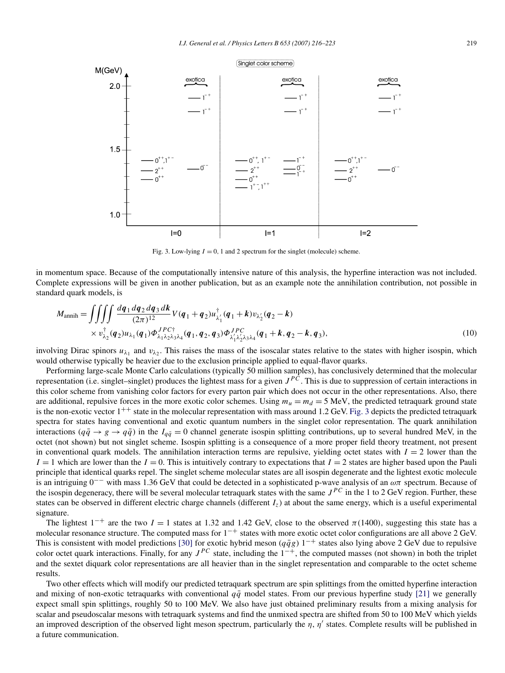

Fig. 3. Low-lying  $I = 0$ , 1 and 2 spectrum for the singlet (molecule) scheme.

in momentum space. Because of the computationally intensive nature of this analysis, the hyperfine interaction was not included. Complete expressions will be given in another publication, but as an example note the annihilation contribution, not possible in standard quark models, is

$$
M_{\text{annih}} = \iiint \underbrace{\int \int \int \frac{dq_1 dq_2 dq_3 dk}{(2\pi)^{12}} V(q_1 + q_2) u_{\lambda'_1}^{\dagger}(q_1 + k) v_{\lambda'_2}(q_2 - k)}_{\times v_{\lambda_2}^{\dagger}(q_2) u_{\lambda_1}(q_1) \Phi_{\lambda_1 \lambda_2 \lambda_3 \lambda_4}^{JPC\dagger}(q_1, q_2, q_3) \Phi_{\lambda'_1 \lambda'_2 \lambda_3 \lambda_4}^{JPC}(q_1 + k, q_2 - k, q_3), \tag{10}
$$

involving Dirac spinors  $u_{\lambda_1}$  and  $v_{\lambda_2}$ . This raises the mass of the isoscalar states relative to the states with higher isospin, which would otherwise typically be heavier due to the exclusion principle applied to equal-flavor quarks.

Performing large-scale Monte Carlo calculations (typically 50 million samples), has conclusively determined that the molecular representation (i.e. singlet–singlet) produces the lightest mass for a given  $J^P$ C. This is due to suppression of certain interactions in this color scheme from vanishing color factors for every parton pair which does not occur in the other representations. Also, there are additional, repulsive forces in the more exotic color schemes. Using  $m_u = m_d = 5$  MeV, the predicted tetraquark ground state is the non-exotic vector  $1^{++}$  state in the molecular representation with mass around 1.2 GeV. Fig. 3 depicts the predicted tetraquark spectra for states having conventional and exotic quantum numbers in the singlet color representation. The quark annihilation interactions ( $q\bar{q} \rightarrow g \rightarrow q\bar{q}$ ) in the  $I_{q\bar{q}} = 0$  channel generate isospin splitting contributions, up to several hundred MeV, in the octet (not shown) but not singlet scheme. Isospin splitting is a consequence of a more proper field theory treatment, not present in conventional quark models. The annihilation interaction terms are repulsive, yielding octet states with  $I = 2$  lower than the  $I = 1$  which are lower than the  $I = 0$ . This is intuitively contrary to expectations that  $I = 2$  states are higher based upon the Pauli principle that identical quarks repel. The singlet scheme molecular states are all isospin degenerate and the lightest exotic molecule is an intriguing 0−− with mass 1.36 GeV that could be detected in a sophisticated p-wave analysis of an *ωπ* spectrum. Because of the isospin degeneracy, there will be several molecular tetraquark states with the same *J PC* in the 1 to 2 GeV region. Further, these states can be observed in different electric charge channels (different *Iz*) at about the same energy, which is a useful experimental signature.

The lightest  $1^{-+}$  are the two  $I = 1$  states at 1.32 and 1.42 GeV, close to the observed  $\pi(1400)$ , suggesting this state has a molecular resonance structure. The computed mass for 1<sup>-+</sup> states with more exotic octet color configurations are all above 2 GeV. This is consistent with model predictions [\[30\]](#page-6-0) for exotic hybrid meson ( $q\bar{q}g$ ) 1<sup>-+</sup> states also lying above 2 GeV due to repulsive color octet quark interactions. Finally, for any  $J^{PC}$  state, including the  $1^{-+}$ , the computed masses (not shown) in both the triplet and the sextet diquark color representations are all heavier than in the singlet representation and comparable to the octet scheme results.

Two other effects which will modify our predicted tetraquark spectrum are spin splittings from the omitted hyperfine interaction and mixing of non-exotic tetraquarks with conventional  $q\bar{q}$  model states. From our previous hyperfine study [\[21\]](#page-6-0) we generally expect small spin splittings, roughly 50 to 100 MeV. We also have just obtained preliminary results from a mixing analysis for scalar and pseudoscalar mesons with tetraquark systems and find the unmixed spectra are shifted from 50 to 100 MeV which yields an improved description of the observed light meson spectrum, particularly the *η*, *η* states. Complete results will be published in a future communication.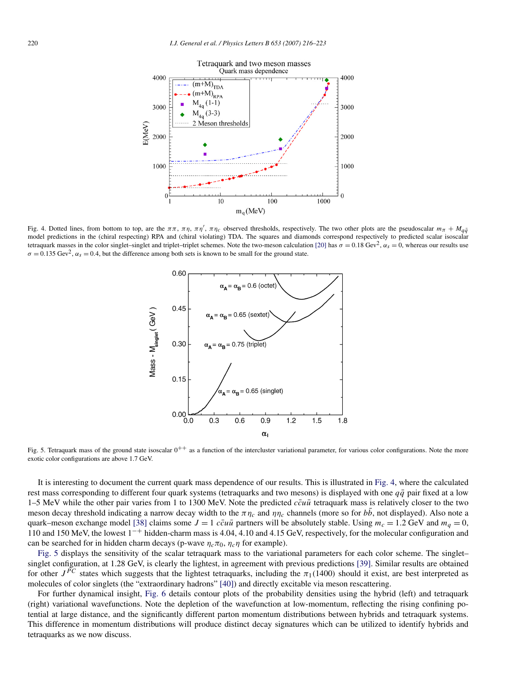

Fig. 4. Dotted lines, from bottom to top, are the  $\pi \pi$ ,  $\pi \eta$ ,  $\pi \eta'$ ,  $\pi \eta_c$  observed thresholds, respectively. The two other plots are the pseudoscalar  $m_{\pi} + M_{q\bar{q}}$ model predictions in the (chiral respecting) RPA and (chiral violating) TDA. The squares and diamonds correspond respectively to predicted scalar isoscalar tetraquark masses in the color singlet–singlet and triplet–triplet schemes. Note the two-meson calculation [\[20\]](#page-6-0) has  $\sigma = 0.18 \text{ GeV}^2$ ,  $\alpha_s = 0$ , whereas our results use  $\sigma = 0.135 \text{ GeV}^2$ ,  $\alpha_s = 0.4$ , but the difference among both sets is known to be small for the ground state.



Fig. 5. Tetraquark mass of the ground state isoscalar  $0^{++}$  as a function of the intercluster variational parameter, for various color configurations. Note the more exotic color configurations are above 1.7 GeV.

It is interesting to document the current quark mass dependence of our results. This is illustrated in Fig. 4, where the calculated rest mass corresponding to different four quark systems (tetraquarks and two mesons) is displayed with one  $q\bar{q}$  pair fixed at a low 1–5 MeV while the other pair varies from 1 to 1300 MeV. Note the predicted  $c\bar{c}u\bar{u}$  tetraquark mass is relatively closer to the two meson decay threshold indicating a narrow decay width to the  $\pi \eta_c$  and  $\eta_l$ <sub>c</sub> channels (more so for *bb*, not displayed). Also note a quark–meson exchange model [\[38\]](#page-7-0) claims some  $J = 1$  *ccuū* partners will be absolutely stable. Using  $m_c = 1.2$  GeV and  $m_q = 0$ , 110 and 150 MeV, the lowest 1−+ hidden-charm mass is 4.04, 4.10 and 4.15 GeV, respectively, for the molecular configuration and can be searched for in hidden charm decays (p-wave  $\eta_c \pi_0$ ,  $\eta_c \eta$  for example).

Fig. 5 displays the sensitivity of the scalar tetraquark mass to the variational parameters for each color scheme. The singlet– singlet configuration, at 1.28 GeV, is clearly the lightest, in agreement with previous predictions [\[39\].](#page-7-0) Similar results are obtained for other  $J^{PC}$  states which suggests that the lightest tetraquarks, including the  $\pi_1(1400)$  should it exist, are best interpreted as molecules of color singlets (the "extraordinary hadrons" [\[40\]\)](#page-7-0) and directly excitable via meson rescattering.

For further dynamical insight, [Fig. 6](#page-5-0) details contour plots of the probability densities using the hybrid (left) and tetraquark (right) variational wavefunctions. Note the depletion of the wavefunction at low-momentum, reflecting the rising confining potential at large distance, and the significantly different parton momentum distributions between hybrids and tetraquark systems. This difference in momentum distributions will produce distinct decay signatures which can be utilized to identify hybrids and tetraquarks as we now discuss.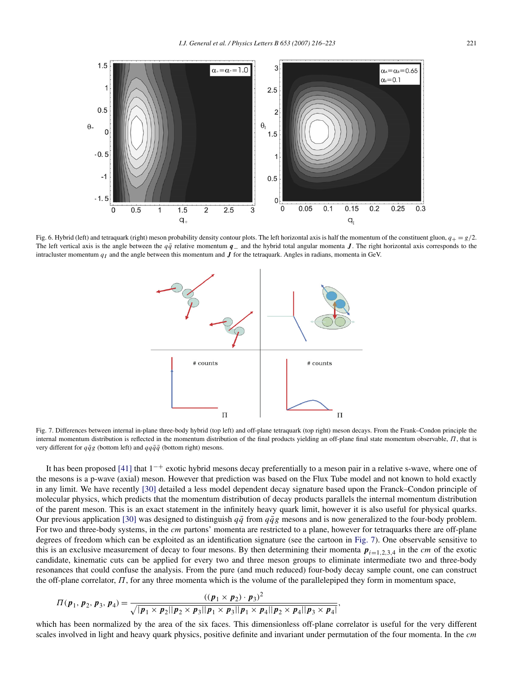<span id="page-5-0"></span>

Fig. 6. Hybrid (left) and tetraquark (right) meson probability density contour plots. The left horizontal axis is half the momentum of the constituent gluon,  $q_{+} = g/2$ . The left vertical axis is the angle between the *q* $\bar{q}$  relative momentum *q*<sub>−</sub> and the hybrid total angular momenta *J*. The right horizontal axis corresponds to the intracluster momentum  $q_I$  and the angle between this momentum and  $J$  for the tetraquark. Angles in radians, momenta in GeV.



Fig. 7. Differences between internal in-plane three-body hybrid (top left) and off-plane tetraquark (top right) meson decays. From the Frank–Condon principle the internal momentum distribution is reflected in the momentum distribution of the final products yielding an off-plane final state momentum observable, *Π*, that is very different for  $q\bar{q}g$  (bottom left) and  $qq\bar{q}\bar{q}$  (bottom right) mesons.

It has been proposed [\[41\]](#page-7-0) that  $1^{-+}$  exotic hybrid mesons decay preferentially to a meson pair in a relative s-wave, where one of the mesons is a p-wave (axial) meson. However that prediction was based on the Flux Tube model and not known to hold exactly in any limit. We have recently [\[30\]](#page-6-0) detailed a less model dependent decay signature based upon the Franck–Condon principle of molecular physics, which predicts that the momentum distribution of decay products parallels the internal momentum distribution of the parent meson. This is an exact statement in the infinitely heavy quark limit, however it is also useful for physical quarks. Our previous application [\[30\]](#page-6-0) was designed to distinguish  $q\bar{q}$  from  $q\bar{q}g$  mesons and is now generalized to the four-body problem. For two and three-body systems, in the *cm* partons' momenta are restricted to a plane, however for tetraquarks there are off-plane degrees of freedom which can be exploited as an identification signature (see the cartoon in Fig. 7). One observable sensitive to this is an exclusive measurement of decay to four mesons. By then determining their momenta  $p_{i=1,2,3,4}$  in the *cm* of the exotic candidate, kinematic cuts can be applied for every two and three meson groups to eliminate intermediate two and three-body resonances that could confuse the analysis. From the pure (and much reduced) four-body decay sample count, one can construct the off-plane correlator, *Π*, for any three momenta which is the volume of the parallelepiped they form in momentum space,

$$
\Pi(p_1, p_2, p_3, p_4) = \frac{((p_1 \times p_2) \cdot p_3)^2}{\sqrt{|p_1 \times p_2||p_2 \times p_3||p_1 \times p_3||p_1 \times p_4||p_2 \times p_4||p_3 \times p_4|}},
$$

which has been normalized by the area of the six faces. This dimensionless off-plane correlator is useful for the very different scales involved in light and heavy quark physics, positive definite and invariant under permutation of the four momenta. In the *cm*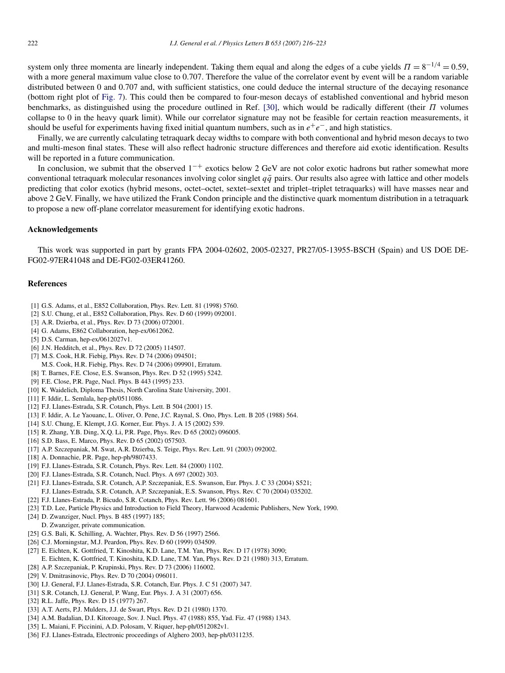<span id="page-6-0"></span>system only three momenta are linearly independent. Taking them equal and along the edges of a cube yields  $\Pi = 8^{-1/4} = 0.59$ , with a more general maximum value close to 0.707. Therefore the value of the correlator event by event will be a random variable distributed between 0 and 0.707 and, with sufficient statistics, one could deduce the internal structure of the decaying resonance (bottom right plot of [Fig. 7\)](#page-5-0). This could then be compared to four-meson decays of established conventional and hybrid meson benchmarks, as distinguished using the procedure outlined in Ref. [30], which would be radically different (their *Π* volumes collapse to 0 in the heavy quark limit). While our correlator signature may not be feasible for certain reaction measurements, it should be useful for experiments having fixed initial quantum numbers, such as in *e*+*e*−, and high statistics.

Finally, we are currently calculating tetraquark decay widths to compare with both conventional and hybrid meson decays to two and multi-meson final states. These will also reflect hadronic structure differences and therefore aid exotic identification. Results will be reported in a future communication.

In conclusion, we submit that the observed  $1^{-+}$  exotics below 2 GeV are not color exotic hadrons but rather somewhat more conventional tetraquark molecular resonances involving color singlet  $q\bar{q}$  pairs. Our results also agree with lattice and other models predicting that color exotics (hybrid mesons, octet–octet, sextet–sextet and triplet–triplet tetraquarks) will have masses near and above 2 GeV. Finally, we have utilized the Frank Condon principle and the distinctive quark momentum distribution in a tetraquark to propose a new off-plane correlator measurement for identifying exotic hadrons.

## **Acknowledgements**

This work was supported in part by grants FPA 2004-02602, 2005-02327, PR27/05-13955-BSCH (Spain) and US DOE DE-FG02-97ER41048 and DE-FG02-03ER41260.

## **References**

- [1] G.S. Adams, et al., E852 Collaboration, Phys. Rev. Lett. 81 (1998) 5760.
- [2] S.U. Chung, et al., E852 Collaboration, Phys. Rev. D 60 (1999) 092001.
- [3] A.R. Dzierba, et al., Phys. Rev. D 73 (2006) 072001.
- [4] G. Adams, E862 Collaboration, hep-ex/0612062.
- [5] D.S. Carman, hep-ex/0612027v1.
- [6] J.N. Hedditch, et al., Phys. Rev. D 72 (2005) 114507.
- [7] M.S. Cook, H.R. Fiebig, Phys. Rev. D 74 (2006) 094501;
- M.S. Cook, H.R. Fiebig, Phys. Rev. D 74 (2006) 099901, Erratum.
- [8] T. Barnes, F.E. Close, E.S. Swanson, Phys. Rev. D 52 (1995) 5242.
- [9] F.E. Close, P.R. Page, Nucl. Phys. B 443 (1995) 233.
- [10] K. Waidelich, Diploma Thesis, North Carolina State University, 2001.
- [11] F. Iddir, L. Semlala, hep-ph/0511086.
- [12] F.J. Llanes-Estrada, S.R. Cotanch, Phys. Lett. B 504 (2001) 15.
- [13] F. Iddir, A. Le Yaouanc, L. Oliver, O. Pene, J.C. Raynal, S. Ono, Phys. Lett. B 205 (1988) 564.
- [14] S.U. Chung, E. Klempt, J.G. Korner, Eur. Phys. J. A 15 (2002) 539.
- [15] R. Zhang, Y.B. Ding, X.Q. Li, P.R. Page, Phys. Rev. D 65 (2002) 096005.
- [16] S.D. Bass, E. Marco, Phys. Rev. D 65 (2002) 057503.
- [17] A.P. Szczepaniak, M. Swat, A.R. Dzierba, S. Teige, Phys. Rev. Lett. 91 (2003) 092002.
- [18] A. Donnachie, P.R. Page, hep-ph/9807433.
- [19] F.J. Llanes-Estrada, S.R. Cotanch, Phys. Rev. Lett. 84 (2000) 1102.
- [20] F.J. Llanes-Estrada, S.R. Cotanch, Nucl. Phys. A 697 (2002) 303.
- [21] F.J. Llanes-Estrada, S.R. Cotanch, A.P. Szczepaniak, E.S. Swanson, Eur. Phys. J. C 33 (2004) S521; F.J. Llanes-Estrada, S.R. Cotanch, A.P. Szczepaniak, E.S. Swanson, Phys. Rev. C 70 (2004) 035202.
- [22] F.J. Llanes-Estrada, P. Bicudo, S.R. Cotanch, Phys. Rev. Lett. 96 (2006) 081601.
- [23] T.D. Lee, Particle Physics and Introduction to Field Theory, Harwood Academic Publishers, New York, 1990.
- [24] D. Zwanziger, Nucl. Phys. B 485 (1997) 185;
- D. Zwanziger, private communication.
- [25] G.S. Bali, K. Schilling, A. Wachter, Phys. Rev. D 56 (1997) 2566.
- [26] C.J. Morningstar, M.J. Peardon, Phys. Rev. D 60 (1999) 034509.
- [27] E. Eichten, K. Gottfried, T. Kinoshita, K.D. Lane, T.M. Yan, Phys. Rev. D 17 (1978) 3090;
- E. Eichten, K. Gottfried, T. Kinoshita, K.D. Lane, T.M. Yan, Phys. Rev. D 21 (1980) 313, Erratum.
- [28] A.P. Szczepaniak, P. Krupinski, Phys. Rev. D 73 (2006) 116002.
- [29] V. Dmitrasinovic, Phys. Rev. D 70 (2004) 096011.
- [30] I.J. General, F.J. Llanes-Estrada, S.R. Cotanch, Eur. Phys. J. C 51 (2007) 347.
- [31] S.R. Cotanch, I.J. General, P. Wang, Eur. Phys. J. A 31 (2007) 656.
- [32] R.L. Jaffe, Phys. Rev. D 15 (1977) 267.
- [33] A.T. Aerts, P.J. Mulders, J.J. de Swart, Phys. Rev. D 21 (1980) 1370.
- [34] A.M. Badalian, D.I. Kitoroage, Sov. J. Nucl. Phys. 47 (1988) 855, Yad. Fiz. 47 (1988) 1343.
- [35] L. Maiani, F. Piccinini, A.D. Polosam, V. Riquer, hep-ph/0512082v1.
- [36] F.J. Llanes-Estrada, Electronic proceedings of Alghero 2003, hep-ph/0311235.